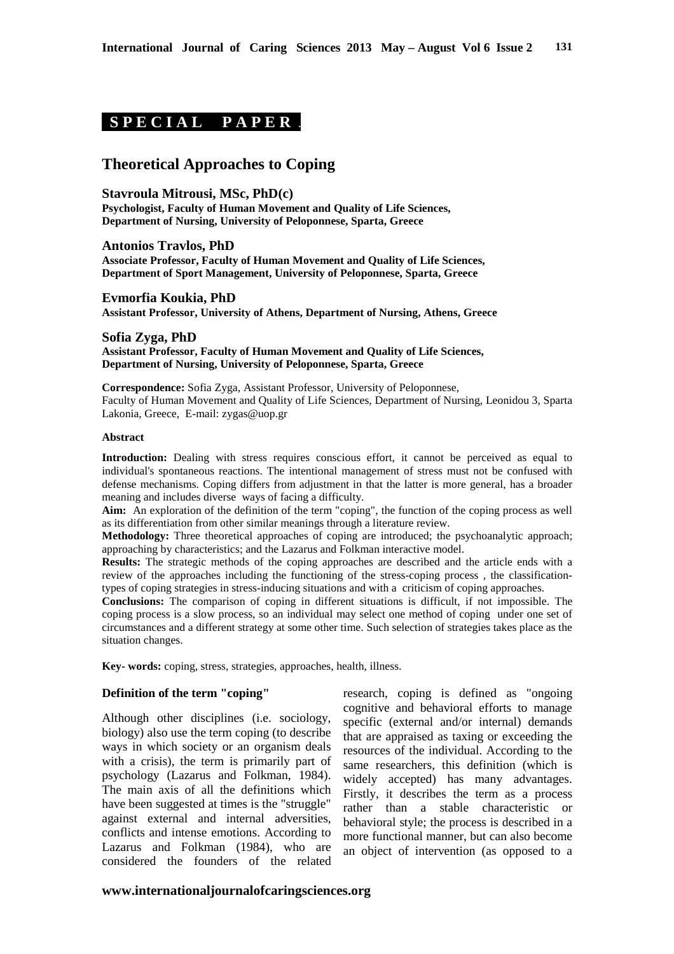# **S P E C I A L P A P E R .**

## **Theoretical Approaches to Coping**

#### **Stavroula Mitrousi, MSc, PhD(c)**

**Psychologist, Faculty of Human Movement and Quality of Life Sciences, Department of Nursing, University of Peloponnese, Sparta, Greece**

**Antonios Travlos, PhD Associate Professor, Faculty of Human Movement and Quality of Life Sciences, Department of Sport Management, University of Peloponnese, Sparta, Greece** 

**Evmorfia Koukia, PhD Assistant Professor, University of Athens, Department of Nursing, Athens, Greece** 

**Sofia Zyga, PhD Assistant Professor, Faculty of Human Movement and Quality of Life Sciences, Department of Nursing, University of Peloponnese, Sparta, Greece**

**Correspondence:** Sofia Zyga, Assistant Professor, University of Peloponnese, Faculty of Human Movement and Quality of Life Sciences, Department of Nursing, Leonidou 3, Sparta Lakonia, Greece, E-mail: zygas@uop.gr

#### **Abstract**

**Introduction:** Dealing with stress requires conscious effort, it cannot be perceived as equal to individual's spontaneous reactions. The intentional management of stress must not be confused with defense mechanisms. Coping differs from adjustment in that the latter is more general, has a broader meaning and includes diverse ways of facing a difficulty.

**Aim:** An exploration of the definition of the term "coping", the function of the coping process as well as its differentiation from other similar meanings through a literature review.

**Methodology:** Three theoretical approaches of coping are introduced; the psychoanalytic approach; approaching by characteristics; and the Lazarus and Folkman interactive model.

**Results:** The strategic methods of the coping approaches are described and the article ends with a review of the approaches including the functioning of the stress-coping process , the classificationtypes of coping strategies in stress-inducing situations and with a criticism of coping approaches.

**Conclusions:** The comparison of coping in different situations is difficult, if not impossible. The coping process is a slow process, so an individual may select one method of coping under one set of circumstances and a different strategy at some other time. Such selection of strategies takes place as the situation changes.

**Key- words:** coping, stress, strategies, approaches, health, illness.

#### **Definition of the term "coping"**

Although other disciplines (i.e. sociology, biology) also use the term coping (to describe ways in which society or an organism deals with a crisis), the term is primarily part of psychology (Lazarus and Folkman, 1984). The main axis of all the definitions which have been suggested at times is the "struggle" against external and internal adversities, conflicts and intense emotions. According to Lazarus and Folkman (1984), who are considered the founders of the related

research, coping is defined as "ongoing cognitive and behavioral efforts to manage specific (external and/or internal) demands that are appraised as taxing or exceeding the resources of the individual. According to the same researchers, this definition (which is widely accepted) has many advantages. Firstly, it describes the term as a process rather than a stable characteristic or behavioral style; the process is described in a more functional manner, but can also become an object of intervention (as opposed to a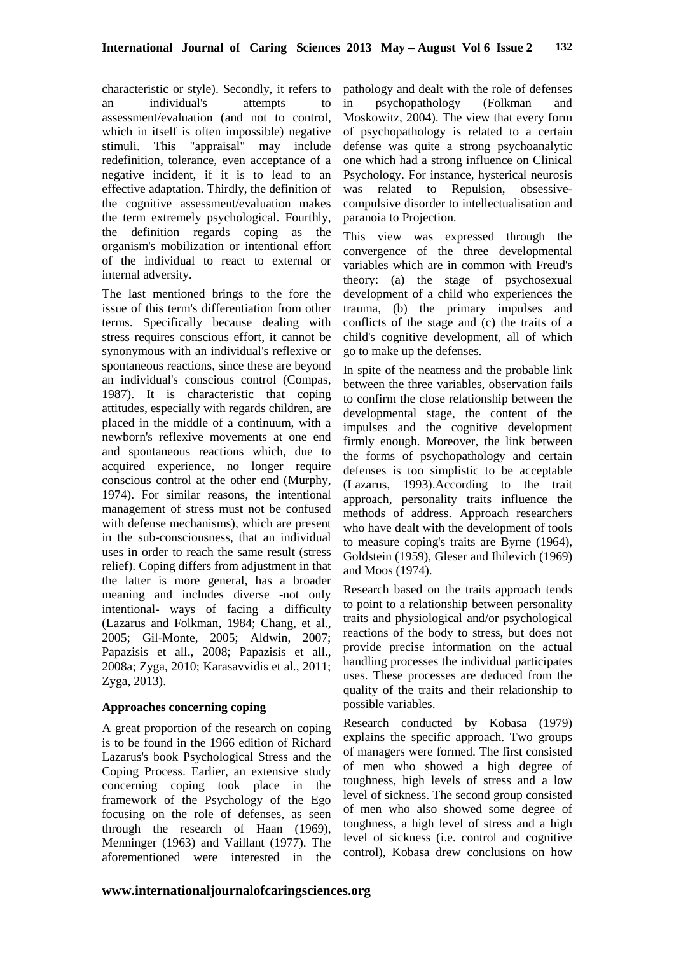characteristic or style). Secondly, it refers to an individual's attempts to assessment/evaluation (and not to control, which in itself is often impossible) negative stimuli. This "appraisal" may include redefinition, tolerance, even acceptance of a negative incident, if it is to lead to an effective adaptation. Thirdly, the definition of the cognitive assessment/evaluation makes the term extremely psychological. Fourthly, the definition regards coping as the organism's mobilization or intentional effort of the individual to react to external or internal adversity.

The last mentioned brings to the fore the issue of this term's differentiation from other terms. Specifically because dealing with stress requires conscious effort, it cannot be synonymous with an individual's reflexive or spontaneous reactions, since these are beyond an individual's conscious control (Compas, 1987). It is characteristic that coping attitudes, especially with regards children, are placed in the middle of a continuum, with a newborn's reflexive movements at one end and spontaneous reactions which, due to acquired experience, no longer require conscious control at the other end (Murphy, 1974). For similar reasons, the intentional management of stress must not be confused with defense mechanisms), which are present in the sub-consciousness, that an individual uses in order to reach the same result (stress relief). Coping differs from adjustment in that the latter is more general, has a broader meaning and includes diverse -not only intentional- ways of facing a difficulty (Lazarus and Folkman, 1984; Chang, et al., 2005; Gil-Monte, 2005; Aldwin, 2007; Papazisis et all., 2008; Papazisis et all., 2008a; Zyga, 2010; Karasavvidis et al., 2011; Zyga, 2013).

#### **Approaches concerning coping**

A great proportion of the research on coping is to be found in the 1966 edition of Richard Lazarus's book Psychological Stress and the Coping Process. Earlier, an extensive study concerning coping took place in the framework of the Psychology of the Ego focusing on the role of defenses, as seen through the research of Haan (1969), Menninger (1963) and Vaillant (1977). The aforementioned were interested in the

pathology and dealt with the role of defenses in psychopathology (Folkman and Moskowitz, 2004). The view that every form of psychopathology is related to a certain defense was quite a strong psychoanalytic one which had a strong influence on Clinical Psychology. For instance, hysterical neurosis was related to Repulsion, obsessivecompulsive disorder to intellectualisation and paranoia to Projection.

This view was expressed through the convergence of the three developmental variables which are in common with Freud's theory: (a) the stage of psychosexual development of a child who experiences the trauma, (b) the primary impulses and conflicts of the stage and (c) the traits of a child's cognitive development, all of which go to make up the defenses.

In spite of the neatness and the probable link between the three variables, observation fails to confirm the close relationship between the developmental stage, the content of the impulses and the cognitive development firmly enough. Moreover, the link between the forms of psychopathology and certain defenses is too simplistic to be acceptable (Lazarus, 1993).According to the trait approach, personality traits influence the methods of address. Approach researchers who have dealt with the development of tools to measure coping's traits are Byrne (1964), Goldstein (1959), Gleser and Ihilevich (1969) and Moos (1974).

Research based on the traits approach tends to point to a relationship between personality traits and physiological and/or psychological reactions of the body to stress, but does not provide precise information on the actual handling processes the individual participates uses. These processes are deduced from the quality of the traits and their relationship to possible variables.

Research conducted by Kobasa (1979) explains the specific approach. Two groups of managers were formed. The first consisted of men who showed a high degree of toughness, high levels of stress and a low level of sickness. The second group consisted of men who also showed some degree of toughness, a high level of stress and a high level of sickness (i.e. control and cognitive control), Kobasa drew conclusions on how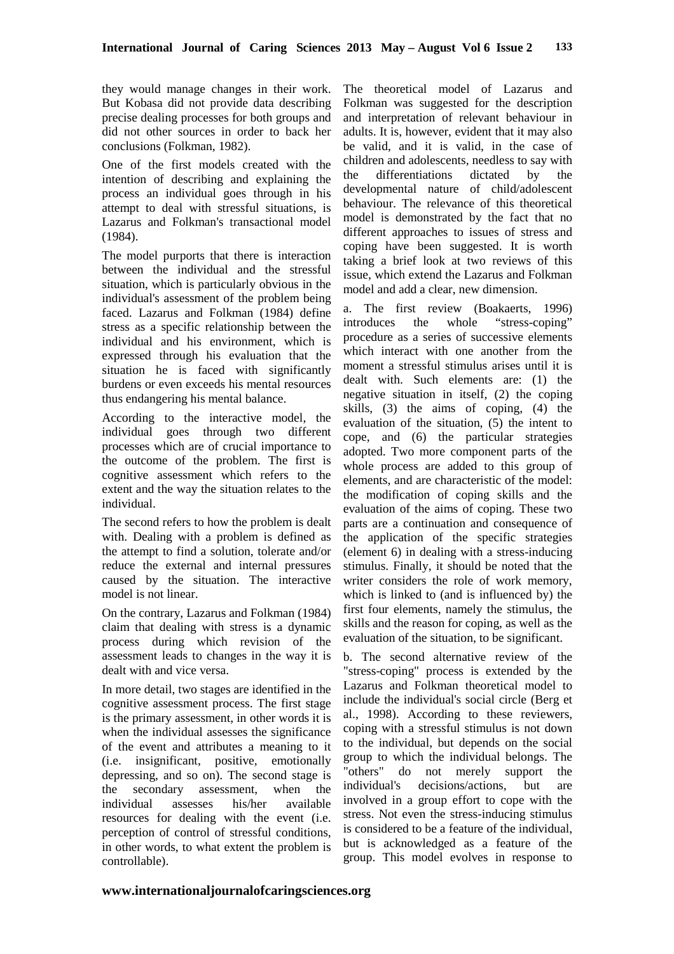they would manage changes in their work. But Kobasa did not provide data describing precise dealing processes for both groups and did not other sources in order to back her conclusions (Folkman, 1982).

One of the first models created with the intention of describing and explaining the process an individual goes through in his attempt to deal with stressful situations, is Lazarus and Folkman's transactional model (1984).

The model purports that there is interaction between the individual and the stressful situation, which is particularly obvious in the individual's assessment of the problem being faced. Lazarus and Folkman (1984) define stress as a specific relationship between the individual and his environment, which is expressed through his evaluation that the situation he is faced with significantly burdens or even exceeds his mental resources thus endangering his mental balance.

According to the interactive model, the individual goes through two different processes which are of crucial importance to the outcome of the problem. The first is cognitive assessment which refers to the extent and the way the situation relates to the individual.

The second refers to how the problem is dealt with. Dealing with a problem is defined as the attempt to find a solution, tolerate and/or reduce the external and internal pressures caused by the situation. The interactive model is not linear.

On the contrary, Lazarus and Folkman (1984) claim that dealing with stress is a dynamic process during which revision of the assessment leads to changes in the way it is dealt with and vice versa.

In more detail, two stages are identified in the cognitive assessment process. The first stage is the primary assessment, in other words it is when the individual assesses the significance of the event and attributes a meaning to it (i.e. insignificant, positive, emotionally depressing, and so on). The second stage is the secondary assessment, when the individual assesses his/her available resources for dealing with the event (i.e. perception of control of stressful conditions, in other words, to what extent the problem is controllable).

The theoretical model of Lazarus and Folkman was suggested for the description and interpretation of relevant behaviour in adults. It is, however, evident that it may also be valid, and it is valid, in the case of children and adolescents, needless to say with the differentiations dictated by the developmental nature of child/adolescent behaviour. The relevance of this theoretical model is demonstrated by the fact that no different approaches to issues of stress and coping have been suggested. It is worth taking a brief look at two reviews of this issue, which extend the Lazarus and Folkman model and add a clear, new dimension.

a. The first review (Boakaerts, 1996) introduces the whole "stress-coping" procedure as a series of successive elements which interact with one another from the moment a stressful stimulus arises until it is dealt with. Such elements are: (1) the negative situation in itself, (2) the coping skills, (3) the aims of coping, (4) the evaluation of the situation, (5) the intent to cope, and (6) the particular strategies adopted. Two more component parts of the whole process are added to this group of elements, and are characteristic of the model: the modification of coping skills and the evaluation of the aims of coping. These two parts are a continuation and consequence of the application of the specific strategies (element 6) in dealing with a stress-inducing stimulus. Finally, it should be noted that the writer considers the role of work memory, which is linked to (and is influenced by) the first four elements, namely the stimulus, the skills and the reason for coping, as well as the evaluation of the situation, to be significant.

b. The second alternative review of the "stress-coping" process is extended by the Lazarus and Folkman theoretical model to include the individual's social circle (Berg et al., 1998). According to these reviewers, coping with a stressful stimulus is not down to the individual, but depends on the social group to which the individual belongs. The "others" do not merely support the individual's decisions/actions, but are involved in a group effort to cope with the stress. Not even the stress-inducing stimulus is considered to be a feature of the individual, but is acknowledged as a feature of the group. This model evolves in response to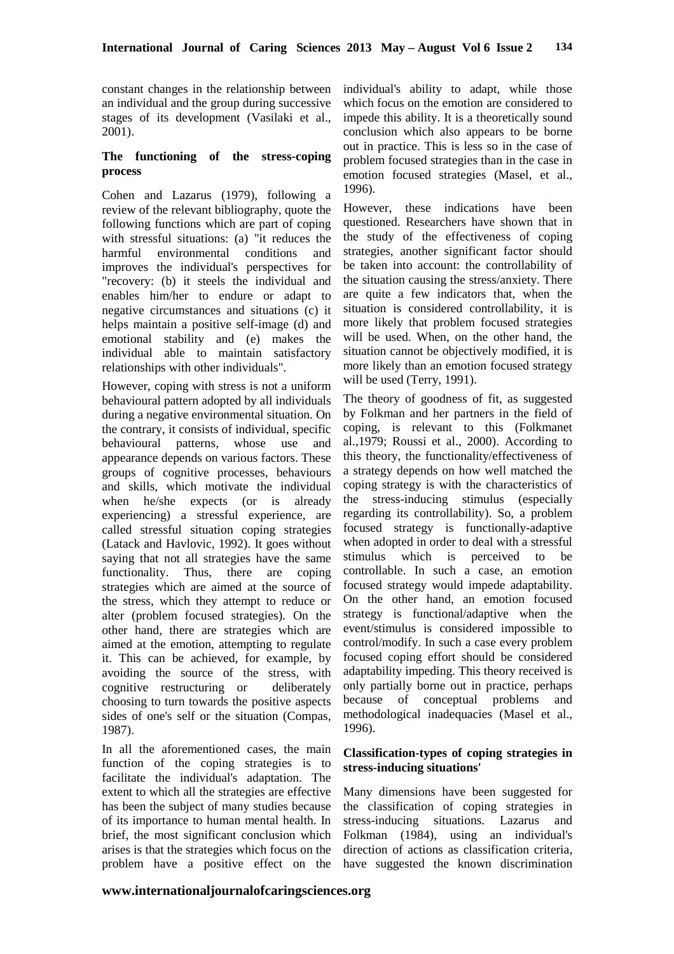constant changes in the relationship between an individual and the group during successive stages of its development (Vasilaki et al., 2001).

## **The functioning of the stress-coping process**

Cohen and Lazarus (1979), following a review of the relevant bibliography, quote the following functions which are part of coping with stressful situations: (a) "it reduces the harmful environmental conditions and improves the individual's perspectives for "recovery: (b) it steels the individual and enables him/her to endure or adapt to negative circumstances and situations (c) it helps maintain a positive self-image (d) and emotional stability and (e) makes the individual able to maintain satisfactory relationships with other individuals".

However, coping with stress is not a uniform behavioural pattern adopted by all individuals during a negative environmental situation. On the contrary, it consists of individual, specific behavioural patterns, whose use and appearance depends on various factors. These groups of cognitive processes, behaviours and skills, which motivate the individual when he/she expects (or is already experiencing) a stressful experience, are called stressful situation coping strategies (Latack and Havlovic, 1992). It goes without saying that not all strategies have the same functionality. Thus, there are coping strategies which are aimed at the source of the stress, which they attempt to reduce or alter (problem focused strategies). On the other hand, there are strategies which are aimed at the emotion, attempting to regulate it. This can be achieved, for example, by avoiding the source of the stress, with cognitive restructuring or deliberately choosing to turn towards the positive aspects sides of one's self or the situation (Compas, 1987).

In all the aforementioned cases, the main function of the coping strategies is to facilitate the individual's adaptation. The extent to which all the strategies are effective has been the subject of many studies because of its importance to human mental health. In brief, the most significant conclusion which arises is that the strategies which focus on the problem have a positive effect on the

individual's ability to adapt, while those which focus on the emotion are considered to impede this ability. It is a theoretically sound conclusion which also appears to be borne out in practice. This is less so in the case of problem focused strategies than in the case in emotion focused strategies (Masel, et al., 1996).

However, these indications have been questioned. Researchers have shown that in the study of the effectiveness of coping strategies, another significant factor should be taken into account: the controllability of the situation causing the stress/anxiety. There are quite a few indicators that, when the situation is considered controllability, it is more likely that problem focused strategies will be used. When, on the other hand, the situation cannot be objectively modified, it is more likely than an emotion focused strategy will be used (Terry, 1991).

The theory of goodness of fit, as suggested by Folkman and her partners in the field of coping, is relevant to this (Folkmanet al.,1979; Roussi et al., 2000). According to this theory, the functionality/effectiveness of a strategy depends on how well matched the coping strategy is with the characteristics of the stress-inducing stimulus (especially regarding its controllability). So, a problem focused strategy is functionally-adaptive when adopted in order to deal with a stressful stimulus which is perceived to be controllable. In such a case, an emotion focused strategy would impede adaptability. On the other hand, an emotion focused strategy is functional/adaptive when the event/stimulus is considered impossible to control/modify. In such a case every problem focused coping effort should be considered adaptability impeding. This theory received is only partially borne out in practice, perhaps because of conceptual problems and methodological inadequacies (Masel et al., 1996).

## **Classification-types of coping strategies in stress-inducing situations'**

Many dimensions have been suggested for the classification of coping strategies in stress-inducing situations. Lazarus and Folkman (1984), using an individual's direction of actions as classification criteria, have suggested the known discrimination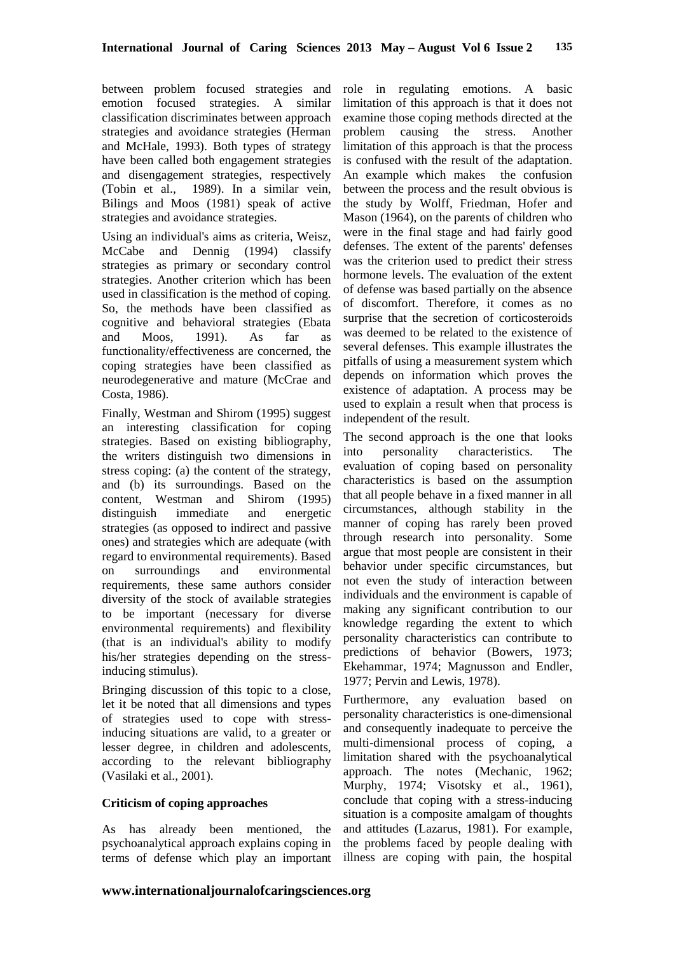between problem focused strategies and emotion focused strategies. A similar classification discriminates between approach strategies and avoidance strategies (Herman and McHale, 1993). Both types of strategy have been called both engagement strategies and disengagement strategies, respectively (Tobin et al., 1989). In a similar vein, Bilings and Moos (1981) speak of active strategies and avoidance strategies.

Using an individual's aims as criteria, Weisz, McCabe and Dennig (1994) classify strategies as primary or secondary control strategies. Another criterion which has been used in classification is the method of coping. So, the methods have been classified as cognitive and behavioral strategies (Ebata and Moos, 1991). As far as functionality/effectiveness are concerned, the coping strategies have been classified as neurodegenerative and mature (McCrae and Costa, 1986).

Finally, Westman and Shirom (1995) suggest an interesting classification for coping strategies. Based on existing bibliography, the writers distinguish two dimensions in stress coping: (a) the content of the strategy, and (b) its surroundings. Based on the content, Westman and Shirom (1995) distinguish immediate and energetic strategies (as opposed to indirect and passive ones) and strategies which are adequate (with regard to environmental requirements). Based on surroundings and environmental requirements, these same authors consider diversity of the stock of available strategies to be important (necessary for diverse environmental requirements) and flexibility (that is an individual's ability to modify his/her strategies depending on the stressinducing stimulus).

Bringing discussion of this topic to a close, let it be noted that all dimensions and types of strategies used to cope with stressinducing situations are valid, to a greater or lesser degree, in children and adolescents, according to the relevant bibliography (Vasilaki et al., 2001).

#### **Criticism of coping approaches**

As has already been mentioned, the psychoanalytical approach explains coping in terms of defense which play an important

role in regulating emotions. A basic limitation of this approach is that it does not examine those coping methods directed at the problem causing the stress. Another limitation of this approach is that the process is confused with the result of the adaptation. An example which makes the confusion between the process and the result obvious is the study by Wolff, Friedman, Hofer and Mason (1964), on the parents of children who were in the final stage and had fairly good defenses. The extent of the parents' defenses was the criterion used to predict their stress hormone levels. The evaluation of the extent of defense was based partially on the absence of discomfort. Therefore, it comes as no surprise that the secretion of corticosteroids was deemed to be related to the existence of several defenses. This example illustrates the pitfalls of using a measurement system which depends on information which proves the existence of adaptation. A process may be used to explain a result when that process is independent of the result.

The second approach is the one that looks into personality characteristics. The evaluation of coping based on personality characteristics is based on the assumption that all people behave in a fixed manner in all circumstances, although stability in the manner of coping has rarely been proved through research into personality. Some argue that most people are consistent in their behavior under specific circumstances, but not even the study of interaction between individuals and the environment is capable of making any significant contribution to our knowledge regarding the extent to which personality characteristics can contribute to predictions of behavior (Bowers, 1973; Ekehammar, 1974; Magnusson and Endler, 1977; Pervin and Lewis, 1978).

Furthermore, any evaluation based on personality characteristics is one-dimensional and consequently inadequate to perceive the multi-dimensional process of coping, a limitation shared with the psychoanalytical approach. The notes (Mechanic, 1962; Murphy, 1974; Visotsky et al., 1961), conclude that coping with a stress-inducing situation is a composite amalgam of thoughts and attitudes (Lazarus, 1981). For example, the problems faced by people dealing with illness are coping with pain, the hospital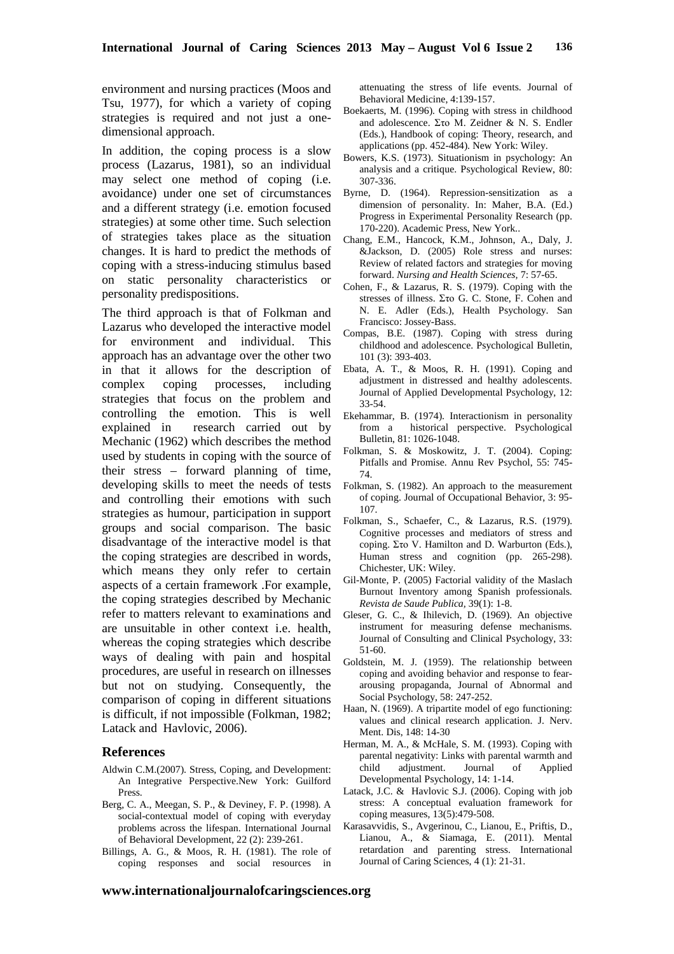environment and nursing practices (Moos and Tsu, 1977), for which a variety of coping strategies is required and not just a onedimensional approach.

In addition, the coping process is a slow process (Lazarus, 1981), so an individual may select one method of coping (i.e. avoidance) under one set of circumstances and a different strategy (i.e. emotion focused strategies) at some other time. Such selection of strategies takes place as the situation changes. It is hard to predict the methods of coping with a stress-inducing stimulus based on static personality characteristics or personality predispositions.

The third approach is that of Folkman and Lazarus who developed the interactive model for environment and individual. This approach has an advantage over the other two in that it allows for the description of complex coping processes, including strategies that focus on the problem and controlling the emotion. This is well explained in research carried out by Mechanic (1962) which describes the method used by students in coping with the source of their stress – forward planning of time, developing skills to meet the needs of tests and controlling their emotions with such strategies as humour, participation in support groups and social comparison. The basic disadvantage of the interactive model is that the coping strategies are described in words, which means they only refer to certain aspects of a certain framework .For example, the coping strategies described by Mechanic refer to matters relevant to examinations and are unsuitable in other context i.e. health, whereas the coping strategies which describe ways of dealing with pain and hospital procedures, are useful in research on illnesses but not on studying. Consequently, the comparison of coping in different situations is difficult, if not impossible (Folkman, 1982; Latack and Havlovic, 2006).

#### **References**

- Aldwin C.M.(2007). Stress, Coping, and Development: An Integrative Perspective.New York: Guilford Press.
- Berg, C. A., Meegan, S. P., & Deviney, F. P. (1998). A social-contextual model of coping with everyday problems across the lifespan. International Journal of Behavioral Development, 22 (2): 239-261.
- Billings, A. G., & Moos, R. H. (1981). The role of coping responses and social resources in

attenuating the stress of life events. Journal of Behavioral Medicine, 4:139-157.

- Boekaerts, M. (1996). Coping with stress in childhood and adolescence. Στο Μ. Zeidner & N. S. Endler (Eds.), Handbook of coping: Theory, research, and applications (pp. 452-484). New York: Wiley.
- Bowers, K.S. (1973). Situationism in psychology: An analysis and a critique. Psychological Review, 80: 307-336.
- Byrne, D. (1964). Repression-sensitization as a dimension of personality. In: Maher, B.A. (Ed.) Progress in Experimental Personality Research (pp. 170-220). Academic Press, New York..
- Chang, E.M., Hancock, K.M., Johnson, A., Daly, J. &Jackson, D. (2005) Role stress and nurses: Review of related factors and strategies for moving forward. *Nursing and Health Sciences,* 7: 57-65.
- Cohen, F., & Lazarus, R. S. (1979). Coping with the stresses of illness. Στο G. C. Stone, F. Cohen and N. E. Adler (Eds.), Health Psychology. San Francisco: Jossey-Bass.
- Compas, B.E. (1987). Coping with stress during childhood and adolescence. Psychological Bulletin, 101 (3): 393-403.
- Ebata, A. T., & Moos, R. H. (1991). Coping and adjustment in distressed and healthy adolescents. Journal of Applied Developmental Psychology, 12: 33-54.
- Ekehammar, B. (1974). Interactionism in personality<br>from a historical perspective. Psychological historical perspective. Psychological Bulletin, 81: 1026-1048.
- Folkman, S. & Moskowitz, J. T. (2004). Coping: Pitfalls and Promise. Annu Rev Psychol, 55: 745- 74.
- Folkman, S. (1982). An approach to the measurement of coping. Journal of Occupational Behavior, 3: 95- 107.
- Folkman, S., Schaefer, C., & Lazarus, R.S. (1979). Cognitive processes and mediators of stress and coping. Στο V. Hamilton and D. Warburton (Eds.), Human stress and cognition (pp. 265-298). Chichester, UK: Wiley.
- Gil-Monte, P. (2005) Factorial validity of the Maslach Burnout Inventory among Spanish professionals*. Revista de Saude Publica,* 39(1): 1-8.
- Gleser, G. C., & Ihilevich, D. (1969). An objective instrument for measuring defense mechanisms. Journal of Consulting and Clinical Psychology, 33: 51-60.
- Goldstein, M. J. (1959). The relationship between coping and avoiding behavior and response to feararousing propaganda, Journal of Abnormal and Social Psychology, 58: 247-252.
- Haan, N. (1969). A tripartite model of ego functioning: values and clinical research application. J. Nerv. Ment. Dis, 148: 14-30
- Herman, M. A., & McHale, S. M. (1993). Coping with parental negativity: Links with parental warmth and<br>child adjustment. Journal of Applied child adjustment. Journal of Applied Developmental Psychology, 14: 1-14.
- Latack, J.C. & Havlovic S.J. (2006). Coping with job stress: A conceptual evaluation framework for coping measures, 13(5):479-508.
- Karasavvidis, S., Avgerinou, C., Lianou, E., Priftis, D., Lianou, A., & Siamaga, E. (2011). Mental retardation and parenting stress. International Journal of Caring Sciences, 4 (1): 21-31.